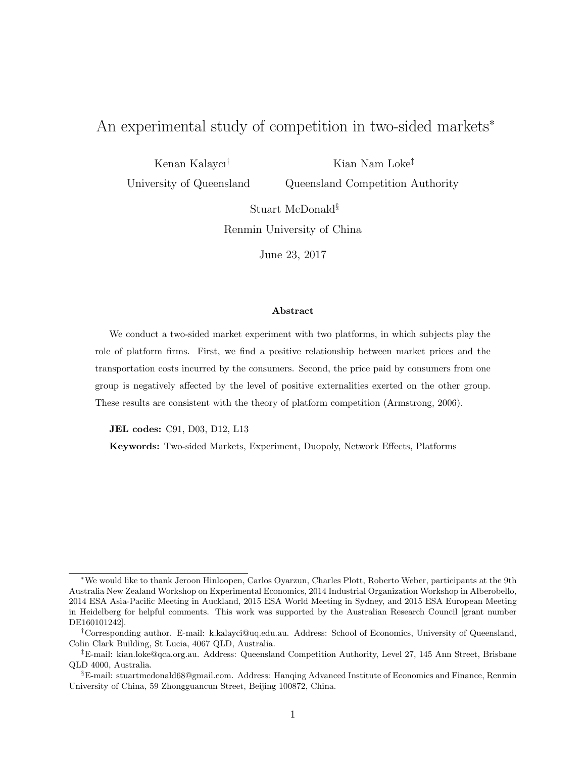# An experimental study of competition in two-sided markets<sup>∗</sup>

Kenan Kalaycı†

Kian Nam Loke‡

University of Queensland

Queensland Competition Authority

Stuart McDonald§ Renmin University of China

June 23, 2017

#### Abstract

We conduct a two-sided market experiment with two platforms, in which subjects play the role of platform firms. First, we find a positive relationship between market prices and the transportation costs incurred by the consumers. Second, the price paid by consumers from one group is negatively affected by the level of positive externalities exerted on the other group. These results are consistent with the theory of platform competition (Armstrong, 2006).

JEL codes: C91, D03, D12, L13

Keywords: Two-sided Markets, Experiment, Duopoly, Network Effects, Platforms

<sup>∗</sup>We would like to thank Jeroon Hinloopen, Carlos Oyarzun, Charles Plott, Roberto Weber, participants at the 9th Australia New Zealand Workshop on Experimental Economics, 2014 Industrial Organization Workshop in Alberobello, 2014 ESA Asia-Pacific Meeting in Auckland, 2015 ESA World Meeting in Sydney, and 2015 ESA European Meeting in Heidelberg for helpful comments. This work was supported by the Australian Research Council [grant number DE160101242].

<sup>†</sup>Corresponding author. E-mail: k.kalayci@uq.edu.au. Address: School of Economics, University of Queensland, Colin Clark Building, St Lucia, 4067 QLD, Australia.

<sup>‡</sup>E-mail: kian.loke@qca.org.au. Address: Queensland Competition Authority, Level 27, 145 Ann Street, Brisbane QLD 4000, Australia.

<sup>§</sup>E-mail: stuartmcdonald68@gmail.com. Address: Hanqing Advanced Institute of Economics and Finance, Renmin University of China, 59 Zhongguancun Street, Beijing 100872, China.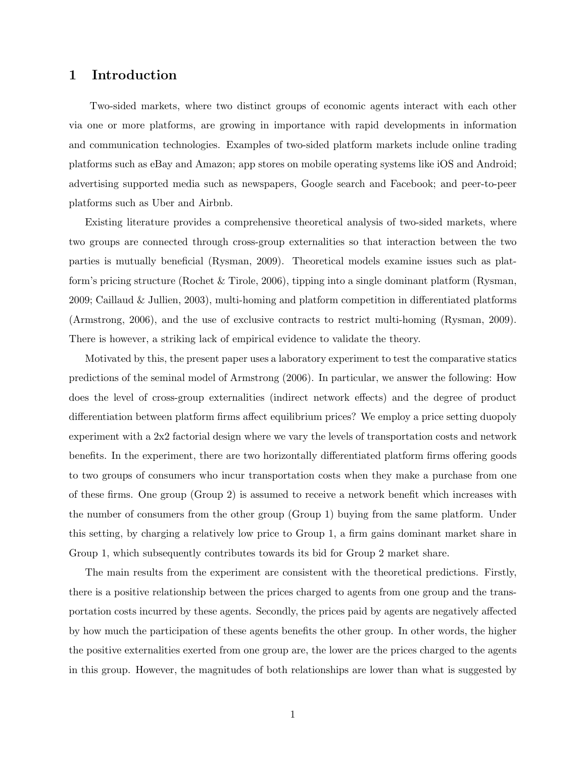## 1 Introduction

Two-sided markets, where two distinct groups of economic agents interact with each other via one or more platforms, are growing in importance with rapid developments in information and communication technologies. Examples of two-sided platform markets include online trading platforms such as eBay and Amazon; app stores on mobile operating systems like iOS and Android; advertising supported media such as newspapers, Google search and Facebook; and peer-to-peer platforms such as Uber and Airbnb.

Existing literature provides a comprehensive theoretical analysis of two-sided markets, where two groups are connected through cross-group externalities so that interaction between the two parties is mutually beneficial (Rysman, 2009). Theoretical models examine issues such as platform's pricing structure (Rochet & Tirole, 2006), tipping into a single dominant platform (Rysman, 2009; Caillaud & Jullien, 2003), multi-homing and platform competition in differentiated platforms (Armstrong, 2006), and the use of exclusive contracts to restrict multi-homing (Rysman, 2009). There is however, a striking lack of empirical evidence to validate the theory.

Motivated by this, the present paper uses a laboratory experiment to test the comparative statics predictions of the seminal model of Armstrong (2006). In particular, we answer the following: How does the level of cross-group externalities (indirect network effects) and the degree of product differentiation between platform firms affect equilibrium prices? We employ a price setting duopoly experiment with a 2x2 factorial design where we vary the levels of transportation costs and network benefits. In the experiment, there are two horizontally differentiated platform firms offering goods to two groups of consumers who incur transportation costs when they make a purchase from one of these firms. One group (Group 2) is assumed to receive a network benefit which increases with the number of consumers from the other group (Group 1) buying from the same platform. Under this setting, by charging a relatively low price to Group 1, a firm gains dominant market share in Group 1, which subsequently contributes towards its bid for Group 2 market share.

The main results from the experiment are consistent with the theoretical predictions. Firstly, there is a positive relationship between the prices charged to agents from one group and the transportation costs incurred by these agents. Secondly, the prices paid by agents are negatively affected by how much the participation of these agents benefits the other group. In other words, the higher the positive externalities exerted from one group are, the lower are the prices charged to the agents in this group. However, the magnitudes of both relationships are lower than what is suggested by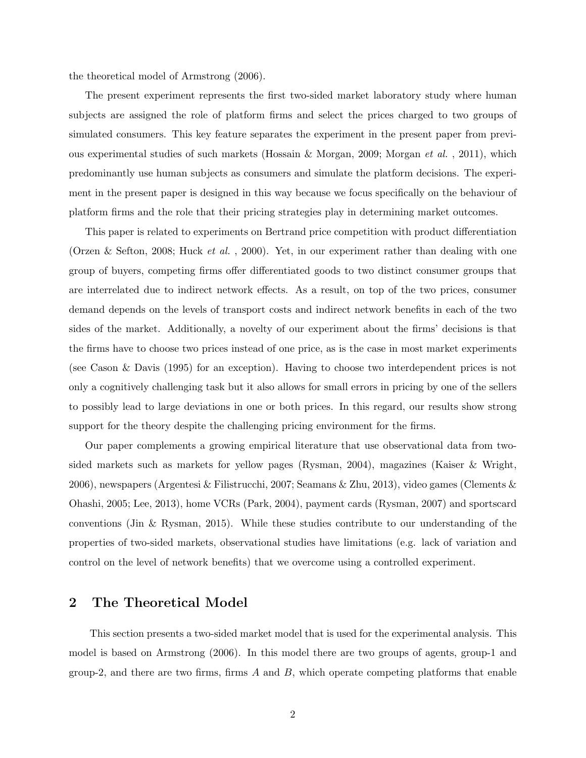the theoretical model of Armstrong (2006).

The present experiment represents the first two-sided market laboratory study where human subjects are assigned the role of platform firms and select the prices charged to two groups of simulated consumers. This key feature separates the experiment in the present paper from previous experimental studies of such markets (Hossain & Morgan, 2009; Morgan et al. , 2011), which predominantly use human subjects as consumers and simulate the platform decisions. The experiment in the present paper is designed in this way because we focus specifically on the behaviour of platform firms and the role that their pricing strategies play in determining market outcomes.

This paper is related to experiments on Bertrand price competition with product differentiation (Orzen & Sefton, 2008; Huck et al. , 2000). Yet, in our experiment rather than dealing with one group of buyers, competing firms offer differentiated goods to two distinct consumer groups that are interrelated due to indirect network effects. As a result, on top of the two prices, consumer demand depends on the levels of transport costs and indirect network benefits in each of the two sides of the market. Additionally, a novelty of our experiment about the firms' decisions is that the firms have to choose two prices instead of one price, as is the case in most market experiments (see Cason & Davis (1995) for an exception). Having to choose two interdependent prices is not only a cognitively challenging task but it also allows for small errors in pricing by one of the sellers to possibly lead to large deviations in one or both prices. In this regard, our results show strong support for the theory despite the challenging pricing environment for the firms.

Our paper complements a growing empirical literature that use observational data from twosided markets such as markets for yellow pages (Rysman, 2004), magazines (Kaiser & Wright, 2006), newspapers (Argentesi & Filistrucchi, 2007; Seamans & Zhu, 2013), video games (Clements & Ohashi, 2005; Lee, 2013), home VCRs (Park, 2004), payment cards (Rysman, 2007) and sportscard conventions (Jin & Rysman, 2015). While these studies contribute to our understanding of the properties of two-sided markets, observational studies have limitations (e.g. lack of variation and control on the level of network benefits) that we overcome using a controlled experiment.

### 2 The Theoretical Model

This section presents a two-sided market model that is used for the experimental analysis. This model is based on Armstrong (2006). In this model there are two groups of agents, group-1 and group-2, and there are two firms, firms  $A$  and  $B$ , which operate competing platforms that enable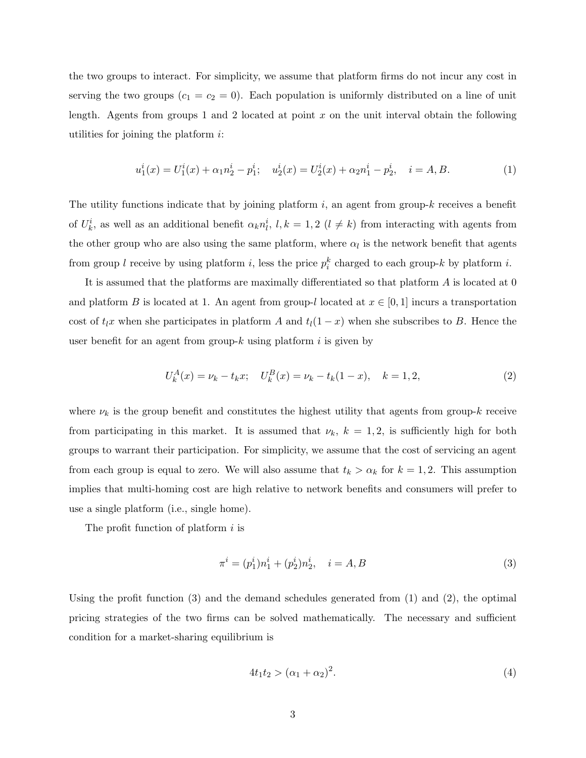the two groups to interact. For simplicity, we assume that platform firms do not incur any cost in serving the two groups  $(c_1 = c_2 = 0)$ . Each population is uniformly distributed on a line of unit length. Agents from groups 1 and 2 located at point  $x$  on the unit interval obtain the following utilities for joining the platform  $i$ :

$$
u_1^i(x) = U_1^i(x) + \alpha_1 n_2^i - p_1^i; \quad u_2^i(x) = U_2^i(x) + \alpha_2 n_1^i - p_2^i, \quad i = A, B. \tag{1}
$$

The utility functions indicate that by joining platform  $i$ , an agent from group-k receives a benefit of  $U_k^i$ , as well as an additional benefit  $\alpha_k n_l^i$ ,  $l, k = 1, 2$   $(l \neq k)$  from interacting with agents from the other group who are also using the same platform, where  $\alpha_l$  is the network benefit that agents from group l receive by using platform i, less the price  $p_i^k$  charged to each group-k by platform i.

It is assumed that the platforms are maximally differentiated so that platform A is located at 0 and platform B is located at 1. An agent from group-l located at  $x \in [0,1]$  incurs a transportation cost of  $t_lx$  when she participates in platform A and  $t_l(1-x)$  when she subscribes to B. Hence the user benefit for an agent from group- $k$  using platform  $i$  is given by

$$
U_k^A(x) = \nu_k - t_k x; \quad U_k^B(x) = \nu_k - t_k(1-x), \quad k = 1, 2,
$$
\n<sup>(2)</sup>

where  $\nu_k$  is the group benefit and constitutes the highest utility that agents from group-k receive from participating in this market. It is assumed that  $\nu_k$ ,  $k = 1, 2$ , is sufficiently high for both groups to warrant their participation. For simplicity, we assume that the cost of servicing an agent from each group is equal to zero. We will also assume that  $t_k > \alpha_k$  for  $k = 1, 2$ . This assumption implies that multi-homing cost are high relative to network benefits and consumers will prefer to use a single platform (i.e., single home).

The profit function of platform  $i$  is

$$
\pi^{i} = (p_1^{i})n_1^{i} + (p_2^{i})n_2^{i}, \quad i = A, B
$$
\n(3)

Using the profit function  $(3)$  and the demand schedules generated from  $(1)$  and  $(2)$ , the optimal pricing strategies of the two firms can be solved mathematically. The necessary and sufficient condition for a market-sharing equilibrium is

$$
4t_1t_2 > (\alpha_1 + \alpha_2)^2. \tag{4}
$$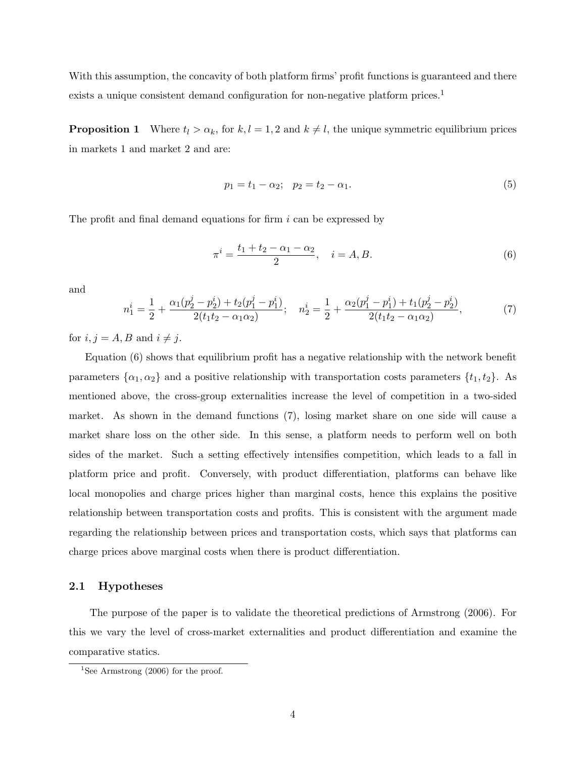With this assumption, the concavity of both platform firms' profit functions is guaranteed and there exists a unique consistent demand configuration for non-negative platform prices.<sup>1</sup>

**Proposition 1** Where  $t_l > \alpha_k$ , for  $k, l = 1, 2$  and  $k \neq l$ , the unique symmetric equilibrium prices in markets 1 and market 2 and are:

$$
p_1 = t_1 - \alpha_2; \quad p_2 = t_2 - \alpha_1. \tag{5}
$$

The profit and final demand equations for firm i can be expressed by

$$
\pi^i = \frac{t_1 + t_2 - \alpha_1 - \alpha_2}{2}, \quad i = A, B. \tag{6}
$$

and

$$
n_1^i = \frac{1}{2} + \frac{\alpha_1 (p_2^j - p_2^i) + t_2 (p_1^j - p_1^i)}{2(t_1 t_2 - \alpha_1 \alpha_2)}; \quad n_2^i = \frac{1}{2} + \frac{\alpha_2 (p_1^j - p_1^i) + t_1 (p_2^j - p_2^i)}{2(t_1 t_2 - \alpha_1 \alpha_2)},\tag{7}
$$

for  $i, j = A, B$  and  $i \neq j$ .

Equation (6) shows that equilibrium profit has a negative relationship with the network benefit parameters  $\{\alpha_1, \alpha_2\}$  and a positive relationship with transportation costs parameters  $\{t_1, t_2\}$ . As mentioned above, the cross-group externalities increase the level of competition in a two-sided market. As shown in the demand functions (7), losing market share on one side will cause a market share loss on the other side. In this sense, a platform needs to perform well on both sides of the market. Such a setting effectively intensifies competition, which leads to a fall in platform price and profit. Conversely, with product differentiation, platforms can behave like local monopolies and charge prices higher than marginal costs, hence this explains the positive relationship between transportation costs and profits. This is consistent with the argument made regarding the relationship between prices and transportation costs, which says that platforms can charge prices above marginal costs when there is product differentiation.

#### 2.1 Hypotheses

The purpose of the paper is to validate the theoretical predictions of Armstrong (2006). For this we vary the level of cross-market externalities and product differentiation and examine the comparative statics.

<sup>&</sup>lt;sup>1</sup>See Armstrong  $(2006)$  for the proof.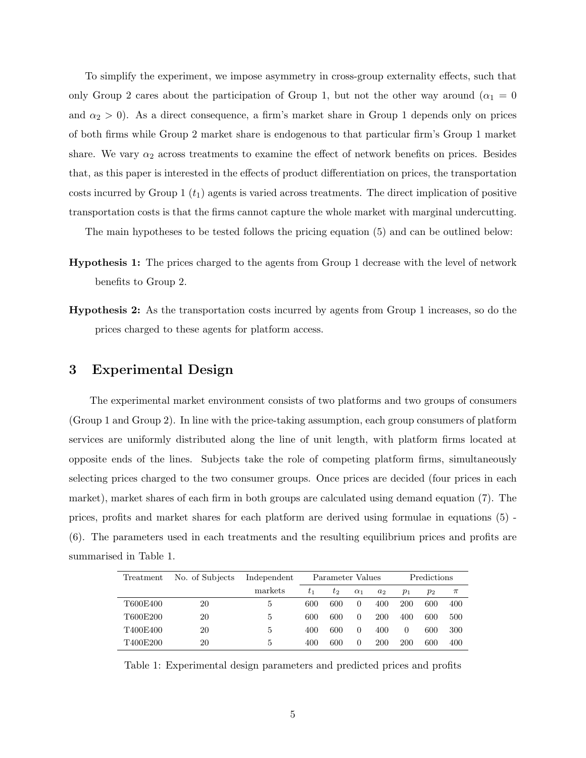To simplify the experiment, we impose asymmetry in cross-group externality effects, such that only Group 2 cares about the participation of Group 1, but not the other way around ( $\alpha_1 = 0$ and  $\alpha_2 > 0$ ). As a direct consequence, a firm's market share in Group 1 depends only on prices of both firms while Group 2 market share is endogenous to that particular firm's Group 1 market share. We vary  $\alpha_2$  across treatments to examine the effect of network benefits on prices. Besides that, as this paper is interested in the effects of product differentiation on prices, the transportation costs incurred by Group 1  $(t_1)$  agents is varied across treatments. The direct implication of positive transportation costs is that the firms cannot capture the whole market with marginal undercutting.

The main hypotheses to be tested follows the pricing equation (5) and can be outlined below:

- Hypothesis 1: The prices charged to the agents from Group 1 decrease with the level of network benefits to Group 2.
- Hypothesis 2: As the transportation costs incurred by agents from Group 1 increases, so do the prices charged to these agents for platform access.

## 3 Experimental Design

The experimental market environment consists of two platforms and two groups of consumers (Group 1 and Group 2). In line with the price-taking assumption, each group consumers of platform services are uniformly distributed along the line of unit length, with platform firms located at opposite ends of the lines. Subjects take the role of competing platform firms, simultaneously selecting prices charged to the two consumer groups. Once prices are decided (four prices in each market), market shares of each firm in both groups are calculated using demand equation (7). The prices, profits and market shares for each platform are derived using formulae in equations (5) - (6). The parameters used in each treatments and the resulting equilibrium prices and profits are summarised in Table 1.

| Treatment | No. of Subjects | Independent |       | Parameter Values |            |            |       | Predictions |       |
|-----------|-----------------|-------------|-------|------------------|------------|------------|-------|-------------|-------|
|           |                 | markets     | $t_1$ | $t_2$            | $\alpha_1$ | $a_2$      | $p_1$ | $p_2$       | $\pi$ |
| T600E400  | 20              | 5.          | 600   | 600              | $\theta$   | 400        | 200   | 600         | 400   |
| T600E200  | 20              | 5           | 600   | 600              | $\Omega$   | <b>200</b> | 400   | 600         | 500   |
| T400E400  | 20              | 5           | 400   | 600              | $\theta$   | 400        | 0     | 600         | 300   |
| T400E200  | 20              | 5           | 400   | 600              | 0          | <b>200</b> | 200   | 600         | 400   |

Table 1: Experimental design parameters and predicted prices and profits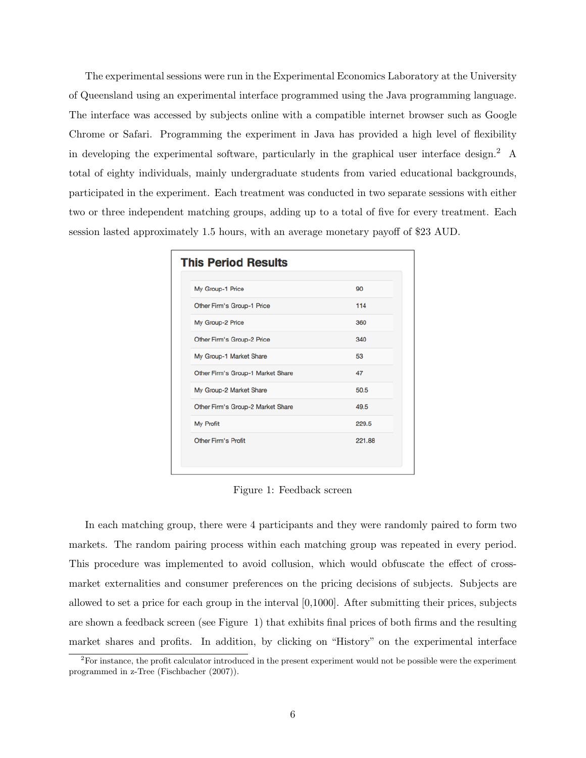The experimental sessions were run in the Experimental Economics Laboratory at the University of Queensland using an experimental interface programmed using the Java programming language. The interface was accessed by subjects online with a compatible internet browser such as Google Chrome or Safari. Programming the experiment in Java has provided a high level of flexibility in developing the experimental software, particularly in the graphical user interface design.<sup>2</sup> A total of eighty individuals, mainly undergraduate students from varied educational backgrounds, participated in the experiment. Each treatment was conducted in two separate sessions with either two or three independent matching groups, adding up to a total of five for every treatment. Each session lasted approximately 1.5 hours, with an average monetary payoff of \$23 AUD.

| <b>This Period Results</b>        |        |
|-----------------------------------|--------|
| My Group-1 Price                  | 90     |
| Other Firm's Group-1 Price        | 114    |
| My Group-2 Price                  | 360    |
| Other Firm's Group-2 Price        | 340    |
| My Group-1 Market Share           | 53     |
| Other Firm's Group-1 Market Share | 47     |
| My Group-2 Market Share           | 50.5   |
| Other Firm's Group-2 Market Share | 49.5   |
| My Profit                         | 229.5  |
| <b>Other Firm's Profit</b>        | 221.88 |
|                                   |        |

Figure 1: Feedback screen

In each matching group, there were 4 participants and they were randomly paired to form two markets. The random pairing process within each matching group was repeated in every period. This procedure was implemented to avoid collusion, which would obfuscate the effect of crossmarket externalities and consumer preferences on the pricing decisions of subjects. Subjects are allowed to set a price for each group in the interval [0,1000]. After submitting their prices, subjects are shown a feedback screen (see Figure 1) that exhibits final prices of both firms and the resulting market shares and profits. In addition, by clicking on "History" on the experimental interface

<sup>&</sup>lt;sup>2</sup>For instance, the profit calculator introduced in the present experiment would not be possible were the experiment programmed in z-Tree (Fischbacher (2007)).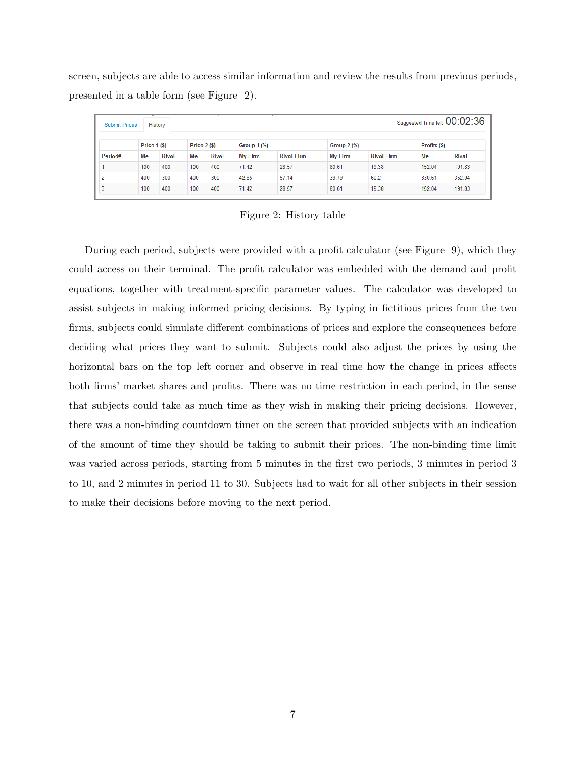screen, subjects are able to access similar information and review the results from previous periods, presented in a table form (see Figure 2).

| Suggested Time left: $00:02:36$<br><b>Submit Prices</b><br>History |                     |              |                     |              |                    |                   |                    |                   |              |              |
|--------------------------------------------------------------------|---------------------|--------------|---------------------|--------------|--------------------|-------------------|--------------------|-------------------|--------------|--------------|
|                                                                    | <b>Price 1 (\$)</b> |              | <b>Price 2 (\$)</b> |              | <b>Group 1 (%)</b> |                   | <b>Group 2 (%)</b> |                   | Profits (\$) |              |
| Period#                                                            | Me                  | <b>Rival</b> | Me                  | <b>Rival</b> | My Firm            | <b>Rival Firm</b> | <b>My Firm</b>     | <b>Rival Firm</b> | Мe           | <b>Rival</b> |
|                                                                    | 100                 | 400          | 100                 | 400          | 71.42              | 28.57             | 80.61              | 19.38             | 152.04       | 191.83       |
|                                                                    | 400                 | 300          | 400                 | 300          | 42.85              | 57.14             | 39.79              | 60.2              | 330.61       | 352.04       |
|                                                                    | 100                 | 400          | 100                 | 400          | 71.42              | 28.57             | 80.61              | 19.38             | 152.04       | 191.83       |

Figure 2: History table

During each period, subjects were provided with a profit calculator (see Figure 9), which they could access on their terminal. The profit calculator was embedded with the demand and profit equations, together with treatment-specific parameter values. The calculator was developed to assist subjects in making informed pricing decisions. By typing in fictitious prices from the two firms, subjects could simulate different combinations of prices and explore the consequences before deciding what prices they want to submit. Subjects could also adjust the prices by using the horizontal bars on the top left corner and observe in real time how the change in prices affects both firms' market shares and profits. There was no time restriction in each period, in the sense that subjects could take as much time as they wish in making their pricing decisions. However, there was a non-binding countdown timer on the screen that provided subjects with an indication of the amount of time they should be taking to submit their prices. The non-binding time limit was varied across periods, starting from 5 minutes in the first two periods, 3 minutes in period 3 to 10, and 2 minutes in period 11 to 30. Subjects had to wait for all other subjects in their session to make their decisions before moving to the next period.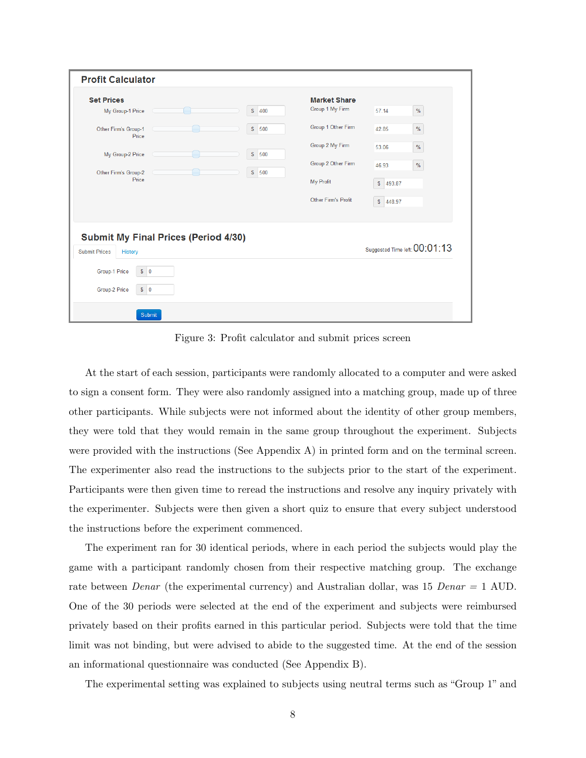| <b>Set Prices</b>                                                              |                     | <b>Market Share</b> |           |                               |
|--------------------------------------------------------------------------------|---------------------|---------------------|-----------|-------------------------------|
| My Group-1 Price                                                               | $\mathbb{S}$<br>400 | Group 1 My Firm     | 57.14     | $\%$                          |
| Other Firm's Group-1<br>Price                                                  | $\mathbb S$<br>500  | Group 1 Other Firm  | 42.85     | $\%$                          |
| My Group-2 Price                                                               | $\mathbb S$<br>500  | Group 2 My Firm     | 53.06     | $\%$                          |
| Other Firm's Group-2                                                           | $\mathbb{S}$<br>500 | Group 2 Other Firm  | 46.93     | $\%$                          |
| Price                                                                          |                     | My Profit           | \$1493.87 |                               |
|                                                                                |                     | Other Firm's Profit | \$448.97  |                               |
| <b>Submit My Final Prices (Period 4/30)</b><br><b>Submit Prices</b><br>History |                     |                     |           | Suggested Time left: 00:01:13 |
| Group-1 Price<br>$S$ 0                                                         |                     |                     |           |                               |

Figure 3: Profit calculator and submit prices screen

At the start of each session, participants were randomly allocated to a computer and were asked to sign a consent form. They were also randomly assigned into a matching group, made up of three other participants. While subjects were not informed about the identity of other group members, they were told that they would remain in the same group throughout the experiment. Subjects were provided with the instructions (See Appendix A) in printed form and on the terminal screen. The experimenter also read the instructions to the subjects prior to the start of the experiment. Participants were then given time to reread the instructions and resolve any inquiry privately with the experimenter. Subjects were then given a short quiz to ensure that every subject understood the instructions before the experiment commenced.

The experiment ran for 30 identical periods, where in each period the subjects would play the game with a participant randomly chosen from their respective matching group. The exchange rate between *Denar* (the experimental currency) and Australian dollar, was 15 Denar = 1 AUD. One of the 30 periods were selected at the end of the experiment and subjects were reimbursed privately based on their profits earned in this particular period. Subjects were told that the time limit was not binding, but were advised to abide to the suggested time. At the end of the session an informational questionnaire was conducted (See Appendix B).

The experimental setting was explained to subjects using neutral terms such as "Group 1" and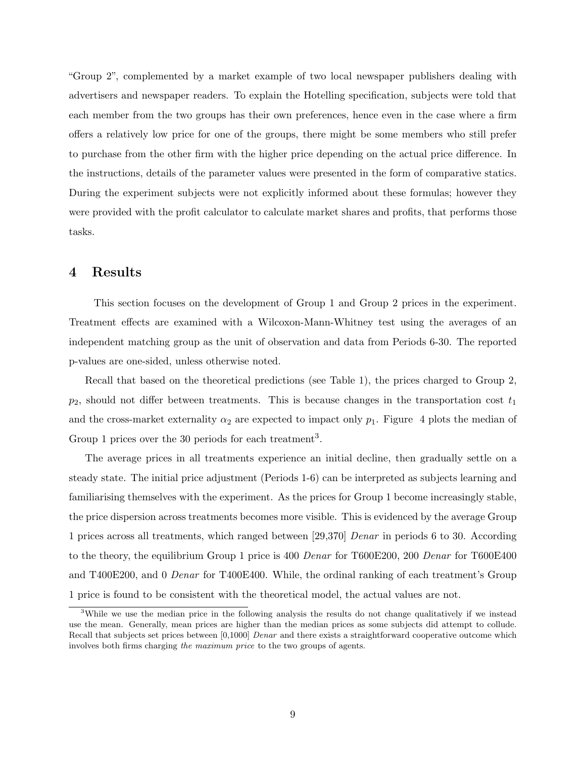"Group 2", complemented by a market example of two local newspaper publishers dealing with advertisers and newspaper readers. To explain the Hotelling specification, subjects were told that each member from the two groups has their own preferences, hence even in the case where a firm offers a relatively low price for one of the groups, there might be some members who still prefer to purchase from the other firm with the higher price depending on the actual price difference. In the instructions, details of the parameter values were presented in the form of comparative statics. During the experiment subjects were not explicitly informed about these formulas; however they were provided with the profit calculator to calculate market shares and profits, that performs those tasks.

## 4 Results

This section focuses on the development of Group 1 and Group 2 prices in the experiment. Treatment effects are examined with a Wilcoxon-Mann-Whitney test using the averages of an independent matching group as the unit of observation and data from Periods 6-30. The reported p-values are one-sided, unless otherwise noted.

Recall that based on the theoretical predictions (see Table 1), the prices charged to Group 2,  $p_2$ , should not differ between treatments. This is because changes in the transportation cost  $t_1$ and the cross-market externality  $\alpha_2$  are expected to impact only  $p_1$ . Figure 4 plots the median of Group 1 prices over the 30 periods for each treatment<sup>3</sup>.

The average prices in all treatments experience an initial decline, then gradually settle on a steady state. The initial price adjustment (Periods 1-6) can be interpreted as subjects learning and familiarising themselves with the experiment. As the prices for Group 1 become increasingly stable, the price dispersion across treatments becomes more visible. This is evidenced by the average Group 1 prices across all treatments, which ranged between [29,370] Denar in periods 6 to 30. According to the theory, the equilibrium Group 1 price is 400 Denar for T600E200, 200 Denar for T600E400 and T400E200, and 0 Denar for T400E400. While, the ordinal ranking of each treatment's Group 1 price is found to be consistent with the theoretical model, the actual values are not.

<sup>&</sup>lt;sup>3</sup>While we use the median price in the following analysis the results do not change qualitatively if we instead use the mean. Generally, mean prices are higher than the median prices as some subjects did attempt to collude. Recall that subjects set prices between [0,1000] Denar and there exists a straightforward cooperative outcome which involves both firms charging the maximum price to the two groups of agents.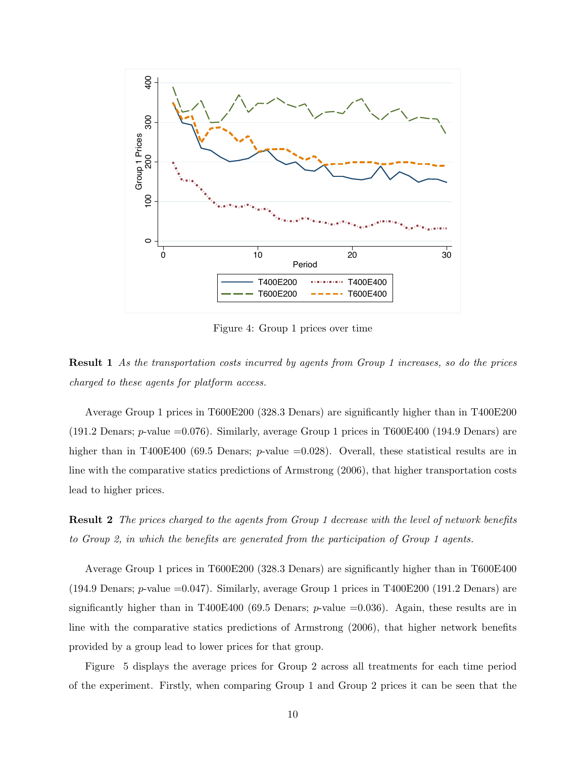

Figure 4: Group 1 prices over time

Result 1 As the transportation costs incurred by agents from Group 1 increases, so do the prices charged to these agents for platform access.

Average Group 1 prices in T600E200 (328.3 Denars) are significantly higher than in T400E200 (191.2 Denars;  $p$ -value =0.076). Similarly, average Group 1 prices in T600E400 (194.9 Denars) are higher than in T400E400 (69.5 Denars;  $p$ -value =0.028). Overall, these statistical results are in line with the comparative statics predictions of Armstrong (2006), that higher transportation costs lead to higher prices.

Result 2 The prices charged to the agents from Group 1 decrease with the level of network benefits to Group 2, in which the benefits are generated from the participation of Group 1 agents.

Average Group 1 prices in T600E200 (328.3 Denars) are significantly higher than in T600E400 (194.9 Denars;  $p$ -value =0.047). Similarly, average Group 1 prices in T400E200 (191.2 Denars) are significantly higher than in T400E400 (69.5 Denars;  $p$ -value =0.036). Again, these results are in line with the comparative statics predictions of Armstrong (2006), that higher network benefits provided by a group lead to lower prices for that group.

Figure 5 displays the average prices for Group 2 across all treatments for each time period of the experiment. Firstly, when comparing Group 1 and Group 2 prices it can be seen that the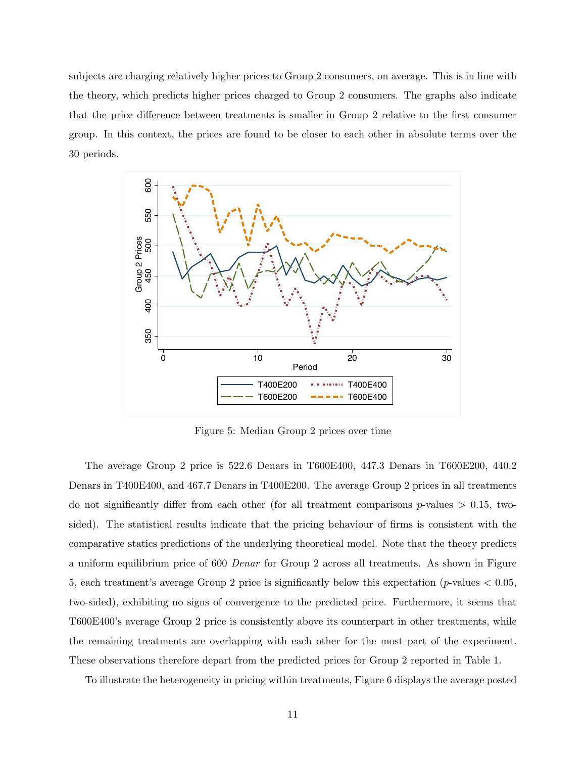subjects are charging relatively higher prices to Group 2 consumers, on average. This is in line with the theory, which predicts higher prices charged to Group 2 consumers. The graphs also indicate that the price difference between treatments is smaller in Group 2 relative to the first consumer group. In this context, the prices are found to be closer to each other in absolute terms over the 30 periods.



Figure 5: Median Group 2 prices over time

The average Group 2 price is 522.6 Denars in T600E400, 447.3 Denars in T600E200, 440.2 Denars in T400E400, and 467.7 Denars in T400E200. The average Group 2 prices in all treatments do not significantly differ from each other (for all treatment comparisons  $p$ -values  $> 0.15$ , twosided). The statistical results indicate that the pricing behaviour of firms is consistent with the comparative statics predictions of the underlying theoretical model. Note that the theory predicts a uniform equilibrium price of 600 Denar for Group 2 across all treatments. As shown in Figure 5, each treatment's average Group 2 price is significantly below this expectation (p-values < 0.05, two-sided), exhibiting no signs of convergence to the predicted price. Furthermore, it seems that T600E400's average Group 2 price is consistently above its counterpart in other treatments, while the remaining treatments are overlapping with each other for the most part of the experiment. These observations therefore depart from the predicted prices for Group 2 reported in Table 1.

To illustrate the heterogeneity in pricing within treatments, Figure 6 displays the average posted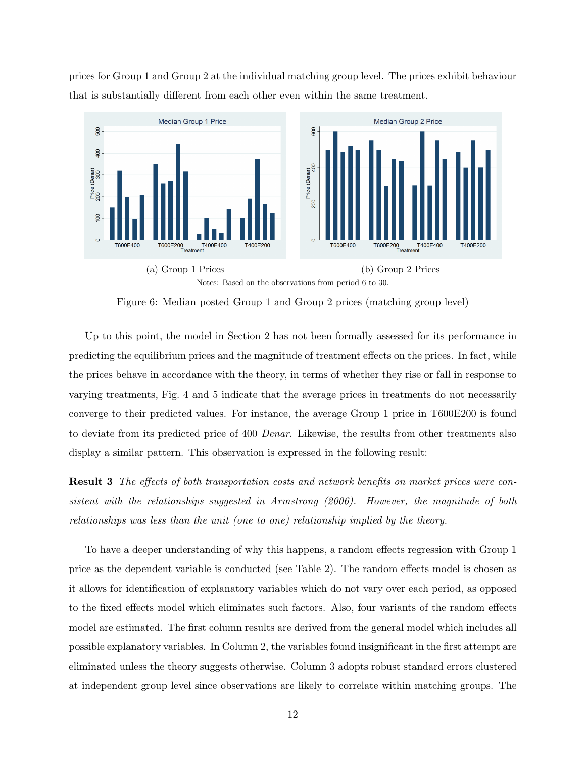prices for Group 1 and Group 2 at the individual matching group level. The prices exhibit behaviour that is substantially different from each other even within the same treatment.



Figure 6: Median posted Group 1 and Group 2 prices (matching group level)

Up to this point, the model in Section 2 has not been formally assessed for its performance in predicting the equilibrium prices and the magnitude of treatment effects on the prices. In fact, while the prices behave in accordance with the theory, in terms of whether they rise or fall in response to varying treatments, Fig. 4 and 5 indicate that the average prices in treatments do not necessarily converge to their predicted values. For instance, the average Group 1 price in T600E200 is found to deviate from its predicted price of 400 Denar. Likewise, the results from other treatments also display a similar pattern. This observation is expressed in the following result:

Result 3 The effects of both transportation costs and network benefits on market prices were consistent with the relationships suggested in Armstrong (2006). However, the magnitude of both relationships was less than the unit (one to one) relationship implied by the theory.

To have a deeper understanding of why this happens, a random effects regression with Group 1 price as the dependent variable is conducted (see Table 2). The random effects model is chosen as it allows for identification of explanatory variables which do not vary over each period, as opposed to the fixed effects model which eliminates such factors. Also, four variants of the random effects model are estimated. The first column results are derived from the general model which includes all possible explanatory variables. In Column 2, the variables found insignificant in the first attempt are eliminated unless the theory suggests otherwise. Column 3 adopts robust standard errors clustered at independent group level since observations are likely to correlate within matching groups. The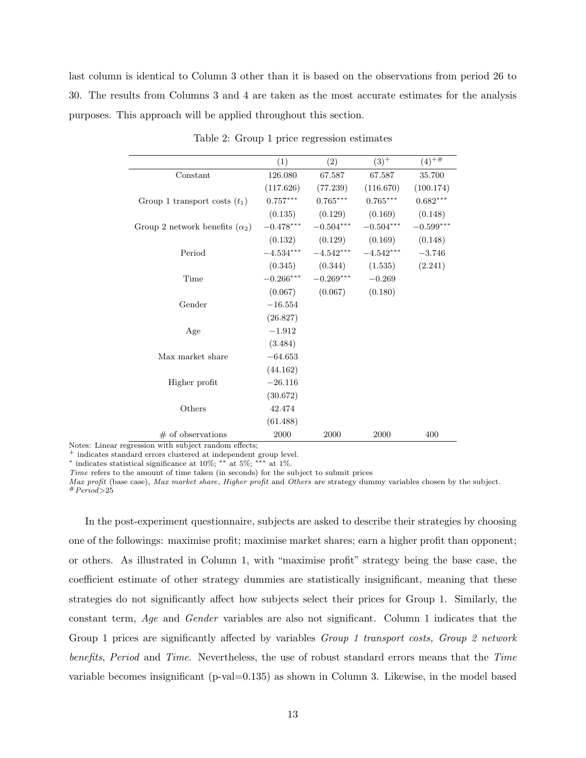last column is identical to Column 3 other than it is based on the observations from period 26 to 30. The results from Columns 3 and 4 are taken as the most accurate estimates for the analysis purposes. This approach will be applied throughout this section.

|                                       | (1)         | (2)                 | $(3)^+$                             | $(4)^{+\overline{\#}}$ |
|---------------------------------------|-------------|---------------------|-------------------------------------|------------------------|
| Constant                              | 126.080     | 67.587              | 67.587                              | 35.700                 |
|                                       | (117.626)   |                     | $(77.239)$ $(116.670)$              | (100.174)              |
| Group 1 transport costs $(t_1)$       | $0.757***$  | $0.765***$          | $0.765***$                          | $0.682***$             |
|                                       |             | $(0.135)$ $(0.129)$ | (0.169)                             | (0.148)                |
| Group 2 network benefits $(\alpha_2)$ | $-0.478***$ | $-0.504***$         | $-0.504***$                         | $-0.599***$            |
|                                       |             | $(0.132)$ $(0.129)$ | (0.169)                             | (0.148)                |
| Period                                |             |                     | $-4.534***$ $-4.542***$ $-4.542***$ | $-3.746$               |
|                                       |             |                     | $(0.345)$ $(0.344)$ $(1.535)$       | (2.241)                |
| Time                                  | $-0.266***$ | $-0.269***$         | $-0.269$                            |                        |
|                                       | (0.067)     | (0.067)             | (0.180)                             |                        |
| Gender                                | $-16.554$   |                     |                                     |                        |
|                                       | (26.827)    |                     |                                     |                        |
| Age                                   | $-1.912$    |                     |                                     |                        |
|                                       | (3.484)     |                     |                                     |                        |
| Max market share                      | $-64.653$   |                     |                                     |                        |
|                                       | (44.162)    |                     |                                     |                        |
| Higher profit                         | $-26.116$   |                     |                                     |                        |
|                                       | (30.672)    |                     |                                     |                        |
| Others                                | 42.474      |                     |                                     |                        |
|                                       | (61.488)    |                     |                                     |                        |
| $#$ of observations                   | 2000        | 2000                | 2000                                | 400                    |

Table 2: Group 1 price regression estimates

Notes: Linear regression with subject random effects;

<sup>+</sup> indicates standard errors clustered at independent group level.

<sup>∗</sup> indicates statistical significance at 10%; ∗∗ at 5%; ∗∗∗ at 1%.

Time refers to the amount of time taken (in seconds) for the subject to submit prices

Max profit (base case), Max market share, Higher profit and Others are strategy dummy variables chosen by the subject.  $#Period > 25$ 

In the post-experiment questionnaire, subjects are asked to describe their strategies by choosing one of the followings: maximise profit; maximise market shares; earn a higher profit than opponent; or others. As illustrated in Column 1, with "maximise profit" strategy being the base case, the coefficient estimate of other strategy dummies are statistically insignificant, meaning that these strategies do not significantly affect how subjects select their prices for Group 1. Similarly, the constant term, Age and Gender variables are also not significant. Column 1 indicates that the Group 1 prices are significantly affected by variables *Group 1 transport costs, Group 2 network* benefits, Period and Time. Nevertheless, the use of robust standard errors means that the Time variable becomes insignificant (p-val=0.135) as shown in Column 3. Likewise, in the model based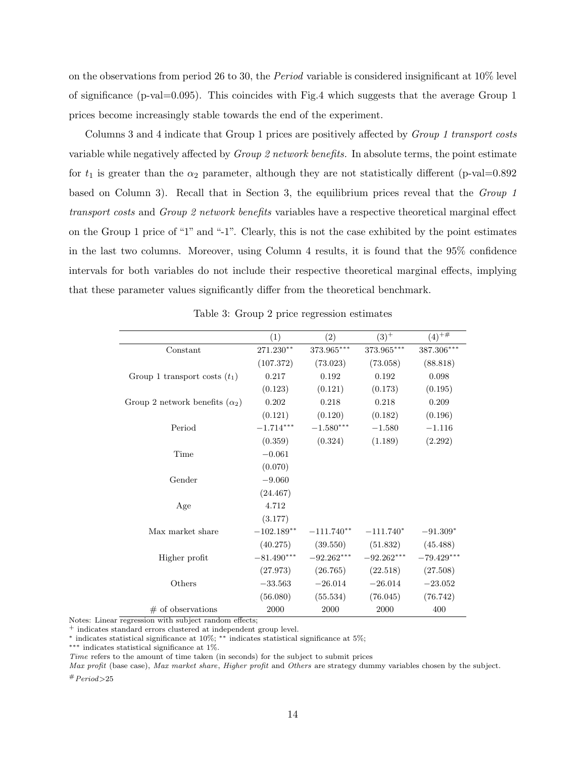on the observations from period 26 to 30, the Period variable is considered insignificant at 10% level of significance (p-val=0.095). This coincides with Fig.4 which suggests that the average Group 1 prices become increasingly stable towards the end of the experiment.

Columns 3 and 4 indicate that Group 1 prices are positively affected by Group 1 transport costs variable while negatively affected by Group 2 network benefits. In absolute terms, the point estimate for  $t_1$  is greater than the  $\alpha_2$  parameter, although they are not statistically different (p-val=0.892) based on Column 3). Recall that in Section 3, the equilibrium prices reveal that the Group 1 transport costs and Group 2 network benefits variables have a respective theoretical marginal effect on the Group 1 price of "1" and "-1". Clearly, this is not the case exhibited by the point estimates in the last two columns. Moreover, using Column 4 results, it is found that the 95% confidence intervals for both variables do not include their respective theoretical marginal effects, implying that these parameter values significantly differ from the theoretical benchmark.

|                                       | (1)           | (2)          | $(3)^{+}$                | $(4)^{+\,\overline{\#}}$ |
|---------------------------------------|---------------|--------------|--------------------------|--------------------------|
| Constant                              | 271.230**     | 373.965***   | $373.965^{\ast\ast\ast}$ | 387.306***               |
|                                       | (107.372)     | (73.023)     | (73.058)                 | (88.818)                 |
| Group 1 transport costs $(t_1)$       | 0.217         | 0.192        | 0.192                    | 0.098                    |
|                                       | (0.123)       | (0.121)      | (0.173)                  | (0.195)                  |
| Group 2 network benefits $(\alpha_2)$ | $0.202\,$     | 0.218        | 0.218                    | 0.209                    |
|                                       | (0.121)       | (0.120)      | (0.182)                  | (0.196)                  |
| Period                                | $-1.714***$   | $-1.580***$  | $-1.580$                 | $-1.116$                 |
|                                       | (0.359)       | (0.324)      | (1.189)                  | (2.292)                  |
| Time                                  | $-0.061$      |              |                          |                          |
|                                       | (0.070)       |              |                          |                          |
| Gender                                | $-9.060$      |              |                          |                          |
|                                       | (24.467)      |              |                          |                          |
| Age                                   | 4.712         |              |                          |                          |
|                                       | (3.177)       |              |                          |                          |
| Max market share                      | $-102.189***$ | $-111.740**$ | $-111.740*$              | $-91.309*$               |
|                                       | (40.275)      | (39.550)     | (51.832)                 | (45.488)                 |
| Higher profit                         | $-81.490***$  | $-92.262***$ | $-92.262***$             | $-79.429***$             |
|                                       | (27.973)      | (26.765)     | (22.518)                 | (27.508)                 |
| Others                                | $-33.563$     | $-26.014$    | $-26.014$                | $-23.052$                |
|                                       | (56.080)      | (55.534)     | (76.045)                 | (76.742)                 |
| $#$ of observations                   | 2000          | 2000         | 2000                     | 400                      |

Table 3: Group 2 price regression estimates

Notes: Linear regression with subject random effects;

<sup>+</sup> indicates standard errors clustered at independent group level.

<sup>∗</sup> indicates statistical significance at 10%; ∗∗ indicates statistical significance at 5%;

∗∗∗ indicates statistical significance at 1%.

Time refers to the amount of time taken (in seconds) for the subject to submit prices

Max profit (base case), Max market share, Higher profit and Others are strategy dummy variables chosen by the subject.  $#Period > 25$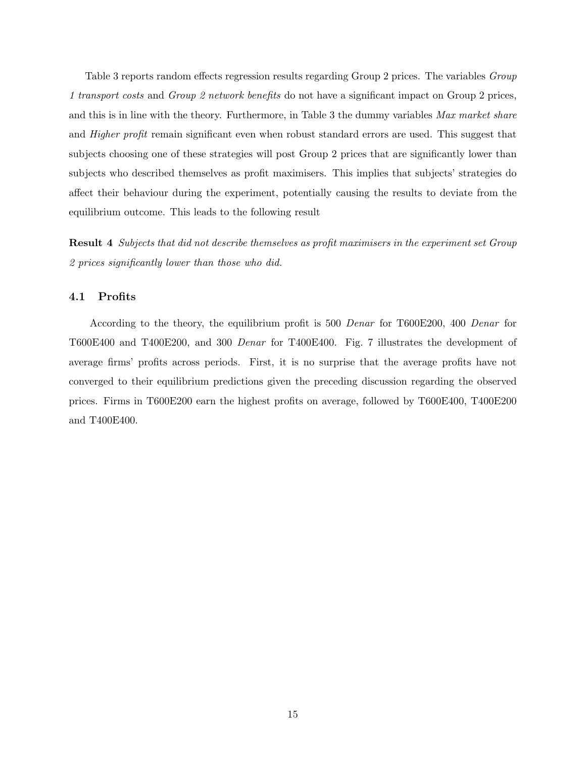Table 3 reports random effects regression results regarding Group 2 prices. The variables *Group* 1 transport costs and Group 2 network benefits do not have a significant impact on Group 2 prices, and this is in line with the theory. Furthermore, in Table 3 the dummy variables Max market share and *Higher profit* remain significant even when robust standard errors are used. This suggest that subjects choosing one of these strategies will post Group 2 prices that are significantly lower than subjects who described themselves as profit maximisers. This implies that subjects' strategies do affect their behaviour during the experiment, potentially causing the results to deviate from the equilibrium outcome. This leads to the following result

Result 4 Subjects that did not describe themselves as profit maximisers in the experiment set Group 2 prices significantly lower than those who did.

### 4.1 Profits

According to the theory, the equilibrium profit is 500 Denar for T600E200, 400 Denar for T600E400 and T400E200, and 300 Denar for T400E400. Fig. 7 illustrates the development of average firms' profits across periods. First, it is no surprise that the average profits have not converged to their equilibrium predictions given the preceding discussion regarding the observed prices. Firms in T600E200 earn the highest profits on average, followed by T600E400, T400E200 and T400E400.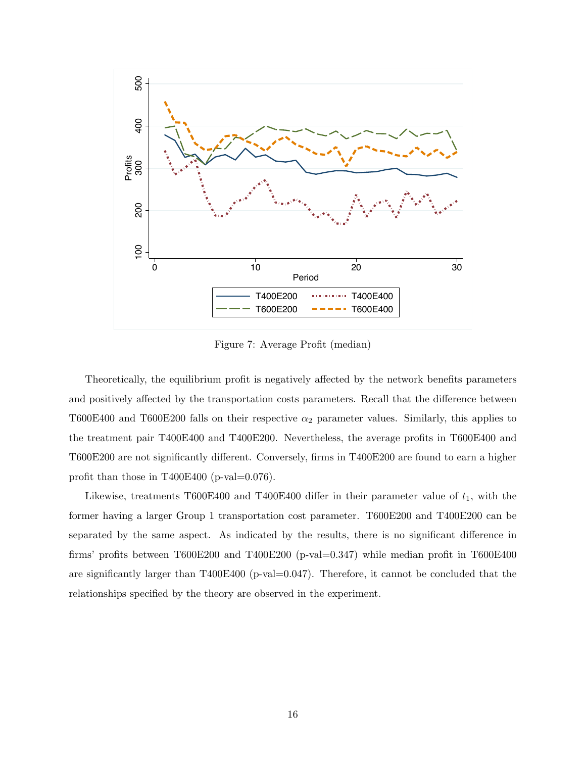

Figure 7: Average Profit (median)

Theoretically, the equilibrium profit is negatively affected by the network benefits parameters and positively affected by the transportation costs parameters. Recall that the difference between T600E400 and T600E200 falls on their respective  $\alpha_2$  parameter values. Similarly, this applies to the treatment pair T400E400 and T400E200. Nevertheless, the average profits in T600E400 and T600E200 are not significantly different. Conversely, firms in T400E200 are found to earn a higher profit than those in T400E400 (p-val= $0.076$ ).

Likewise, treatments T600E400 and T400E400 differ in their parameter value of  $t_1$ , with the former having a larger Group 1 transportation cost parameter. T600E200 and T400E200 can be separated by the same aspect. As indicated by the results, there is no significant difference in firms' profits between T600E200 and T400E200 (p-val=0.347) while median profit in T600E400 are significantly larger than  $T400E400$  (p-val $=0.047$ ). Therefore, it cannot be concluded that the relationships specified by the theory are observed in the experiment.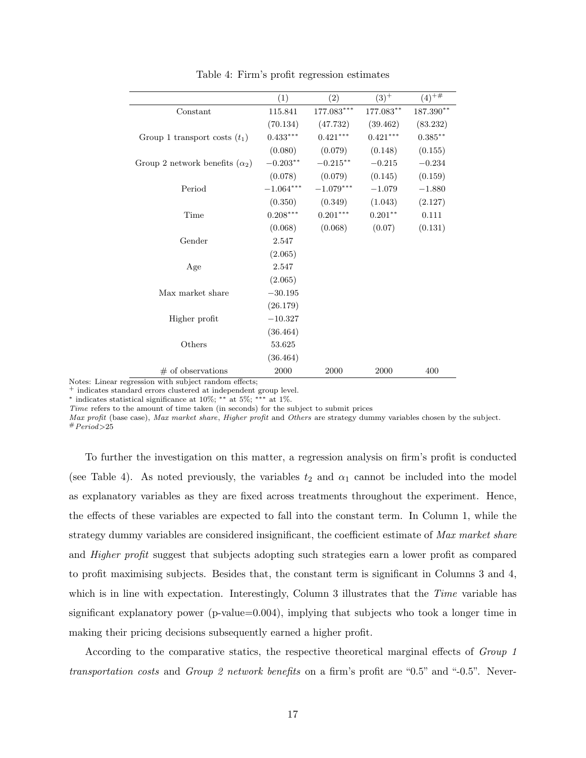|                                       | (1)         | $\left( 2\right)$ | $(3)^+$    | $(4)^{+\overline{\#}}$ |
|---------------------------------------|-------------|-------------------|------------|------------------------|
| Constant                              | 115.841     | $177.083***$      | 177.083**  | $187.390**$            |
|                                       | (70.134)    | (47.732)          | (39.462)   | (83.232)               |
| Group 1 transport costs $(t_1)$       | $0.433***$  | $0.421***$        | $0.421***$ | $0.385***$             |
|                                       | (0.080)     | (0.079)           | (0.148)    | (0.155)                |
| Group 2 network benefits $(\alpha_2)$ | $-0.203**$  | $-0.215***$       | $-0.215$   | $-0.234$               |
|                                       | (0.078)     | (0.079)           | (0.145)    | (0.159)                |
| Period                                | $-1.064***$ | $-1.079***$       | $-1.079$   | $-1.880$               |
|                                       | (0.350)     | (0.349)           | (1.043)    | (2.127)                |
| Time                                  | $0.208***$  | $0.201***$        | $0.201**$  | 0.111                  |
|                                       | (0.068)     | (0.068)           | (0.07)     | (0.131)                |
| Gender                                | 2.547       |                   |            |                        |
|                                       | (2.065)     |                   |            |                        |
| Age                                   | 2.547       |                   |            |                        |
|                                       | (2.065)     |                   |            |                        |
| Max market share                      | $-30.195$   |                   |            |                        |
|                                       | (26.179)    |                   |            |                        |
| Higher profit                         | $-10.327$   |                   |            |                        |
|                                       | (36.464)    |                   |            |                        |
| Others                                | 53.625      |                   |            |                        |
|                                       | (36.464)    |                   |            |                        |
| $#$ of observations                   | 2000        | 2000              | 2000       | 400                    |

Table 4: Firm's profit regression estimates

Notes: Linear regression with subject random effects;

<sup>+</sup> indicates standard errors clustered at independent group level.

 $*$  indicates statistical significance at 10%;  $**$  at 5%;  $***$  at 1%.

Time refers to the amount of time taken (in seconds) for the subject to submit prices

Max profit (base case), Max market share, Higher profit and Others are strategy dummy variables chosen by the subject.  $#Period > 25$ 

To further the investigation on this matter, a regression analysis on firm's profit is conducted (see Table 4). As noted previously, the variables  $t_2$  and  $\alpha_1$  cannot be included into the model as explanatory variables as they are fixed across treatments throughout the experiment. Hence, the effects of these variables are expected to fall into the constant term. In Column 1, while the strategy dummy variables are considered insignificant, the coefficient estimate of Max market share and Higher profit suggest that subjects adopting such strategies earn a lower profit as compared to profit maximising subjects. Besides that, the constant term is significant in Columns 3 and 4, which is in line with expectation. Interestingly, Column 3 illustrates that the Time variable has significant explanatory power (p-value=0.004), implying that subjects who took a longer time in making their pricing decisions subsequently earned a higher profit.

According to the comparative statics, the respective theoretical marginal effects of Group 1 transportation costs and Group 2 network benefits on a firm's profit are "0.5" and "-0.5". Never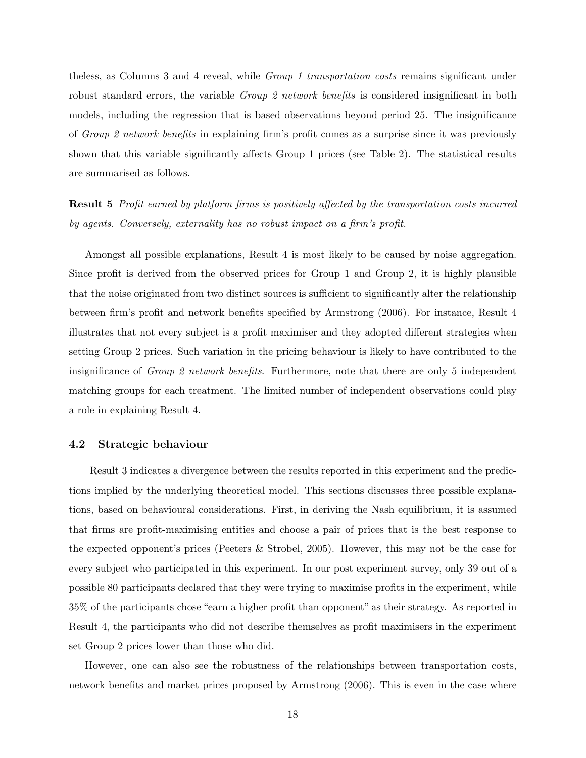theless, as Columns 3 and 4 reveal, while Group 1 transportation costs remains significant under robust standard errors, the variable *Group 2 network benefits* is considered insignificant in both models, including the regression that is based observations beyond period 25. The insignificance of Group 2 network benefits in explaining firm's profit comes as a surprise since it was previously shown that this variable significantly affects Group 1 prices (see Table 2). The statistical results are summarised as follows.

Result 5 Profit earned by platform firms is positively affected by the transportation costs incurred by agents. Conversely, externality has no robust impact on a firm's profit.

Amongst all possible explanations, Result 4 is most likely to be caused by noise aggregation. Since profit is derived from the observed prices for Group 1 and Group 2, it is highly plausible that the noise originated from two distinct sources is sufficient to significantly alter the relationship between firm's profit and network benefits specified by Armstrong (2006). For instance, Result 4 illustrates that not every subject is a profit maximiser and they adopted different strategies when setting Group 2 prices. Such variation in the pricing behaviour is likely to have contributed to the insignificance of Group 2 network benefits. Furthermore, note that there are only 5 independent matching groups for each treatment. The limited number of independent observations could play a role in explaining Result 4.

#### 4.2 Strategic behaviour

Result 3 indicates a divergence between the results reported in this experiment and the predictions implied by the underlying theoretical model. This sections discusses three possible explanations, based on behavioural considerations. First, in deriving the Nash equilibrium, it is assumed that firms are profit-maximising entities and choose a pair of prices that is the best response to the expected opponent's prices (Peeters & Strobel, 2005). However, this may not be the case for every subject who participated in this experiment. In our post experiment survey, only 39 out of a possible 80 participants declared that they were trying to maximise profits in the experiment, while 35% of the participants chose "earn a higher profit than opponent" as their strategy. As reported in Result 4, the participants who did not describe themselves as profit maximisers in the experiment set Group 2 prices lower than those who did.

However, one can also see the robustness of the relationships between transportation costs, network benefits and market prices proposed by Armstrong (2006). This is even in the case where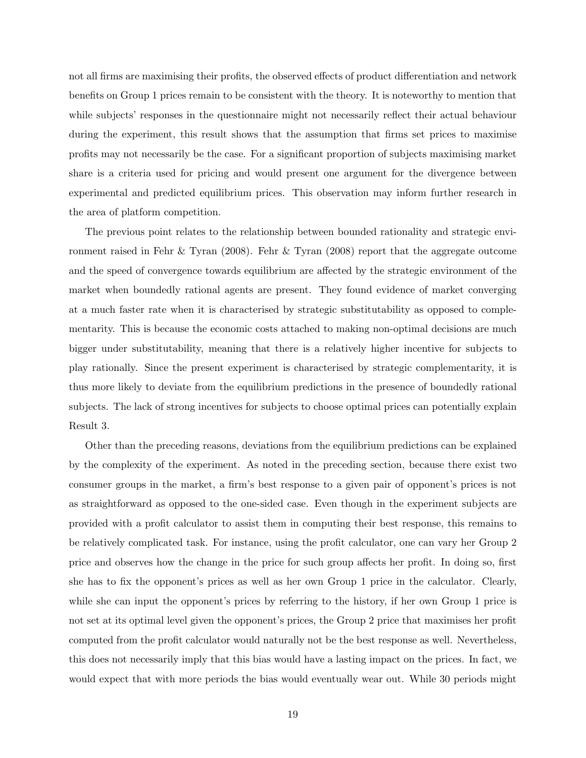not all firms are maximising their profits, the observed effects of product differentiation and network benefits on Group 1 prices remain to be consistent with the theory. It is noteworthy to mention that while subjects' responses in the questionnaire might not necessarily reflect their actual behaviour during the experiment, this result shows that the assumption that firms set prices to maximise profits may not necessarily be the case. For a significant proportion of subjects maximising market share is a criteria used for pricing and would present one argument for the divergence between experimental and predicted equilibrium prices. This observation may inform further research in the area of platform competition.

The previous point relates to the relationship between bounded rationality and strategic environment raised in Fehr & Tyran (2008). Fehr & Tyran (2008) report that the aggregate outcome and the speed of convergence towards equilibrium are affected by the strategic environment of the market when boundedly rational agents are present. They found evidence of market converging at a much faster rate when it is characterised by strategic substitutability as opposed to complementarity. This is because the economic costs attached to making non-optimal decisions are much bigger under substitutability, meaning that there is a relatively higher incentive for subjects to play rationally. Since the present experiment is characterised by strategic complementarity, it is thus more likely to deviate from the equilibrium predictions in the presence of boundedly rational subjects. The lack of strong incentives for subjects to choose optimal prices can potentially explain Result 3.

Other than the preceding reasons, deviations from the equilibrium predictions can be explained by the complexity of the experiment. As noted in the preceding section, because there exist two consumer groups in the market, a firm's best response to a given pair of opponent's prices is not as straightforward as opposed to the one-sided case. Even though in the experiment subjects are provided with a profit calculator to assist them in computing their best response, this remains to be relatively complicated task. For instance, using the profit calculator, one can vary her Group 2 price and observes how the change in the price for such group affects her profit. In doing so, first she has to fix the opponent's prices as well as her own Group 1 price in the calculator. Clearly, while she can input the opponent's prices by referring to the history, if her own Group 1 price is not set at its optimal level given the opponent's prices, the Group 2 price that maximises her profit computed from the profit calculator would naturally not be the best response as well. Nevertheless, this does not necessarily imply that this bias would have a lasting impact on the prices. In fact, we would expect that with more periods the bias would eventually wear out. While 30 periods might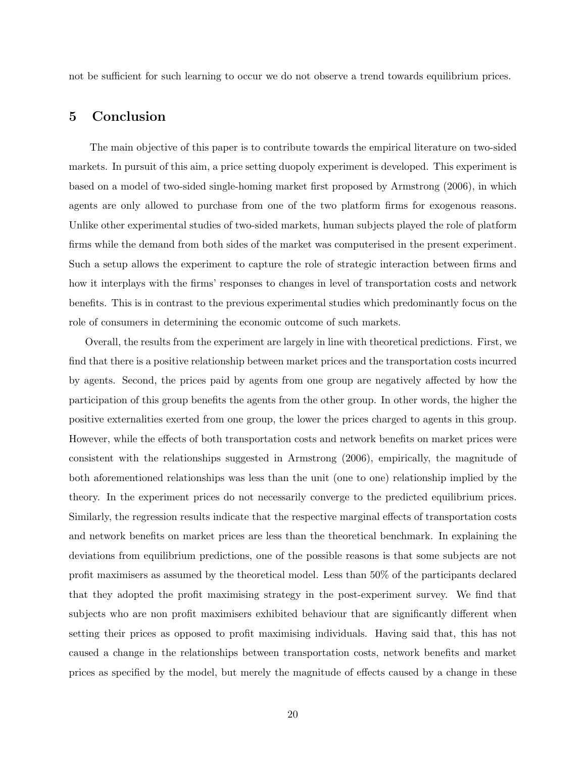not be sufficient for such learning to occur we do not observe a trend towards equilibrium prices.

## 5 Conclusion

The main objective of this paper is to contribute towards the empirical literature on two-sided markets. In pursuit of this aim, a price setting duopoly experiment is developed. This experiment is based on a model of two-sided single-homing market first proposed by Armstrong (2006), in which agents are only allowed to purchase from one of the two platform firms for exogenous reasons. Unlike other experimental studies of two-sided markets, human subjects played the role of platform firms while the demand from both sides of the market was computerised in the present experiment. Such a setup allows the experiment to capture the role of strategic interaction between firms and how it interplays with the firms' responses to changes in level of transportation costs and network benefits. This is in contrast to the previous experimental studies which predominantly focus on the role of consumers in determining the economic outcome of such markets.

Overall, the results from the experiment are largely in line with theoretical predictions. First, we find that there is a positive relationship between market prices and the transportation costs incurred by agents. Second, the prices paid by agents from one group are negatively affected by how the participation of this group benefits the agents from the other group. In other words, the higher the positive externalities exerted from one group, the lower the prices charged to agents in this group. However, while the effects of both transportation costs and network benefits on market prices were consistent with the relationships suggested in Armstrong (2006), empirically, the magnitude of both aforementioned relationships was less than the unit (one to one) relationship implied by the theory. In the experiment prices do not necessarily converge to the predicted equilibrium prices. Similarly, the regression results indicate that the respective marginal effects of transportation costs and network benefits on market prices are less than the theoretical benchmark. In explaining the deviations from equilibrium predictions, one of the possible reasons is that some subjects are not profit maximisers as assumed by the theoretical model. Less than 50% of the participants declared that they adopted the profit maximising strategy in the post-experiment survey. We find that subjects who are non profit maximisers exhibited behaviour that are significantly different when setting their prices as opposed to profit maximising individuals. Having said that, this has not caused a change in the relationships between transportation costs, network benefits and market prices as specified by the model, but merely the magnitude of effects caused by a change in these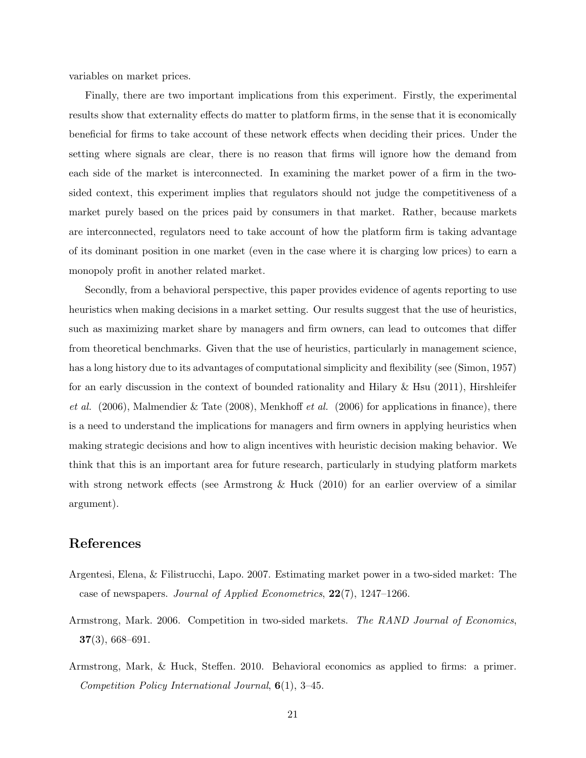variables on market prices.

Finally, there are two important implications from this experiment. Firstly, the experimental results show that externality effects do matter to platform firms, in the sense that it is economically beneficial for firms to take account of these network effects when deciding their prices. Under the setting where signals are clear, there is no reason that firms will ignore how the demand from each side of the market is interconnected. In examining the market power of a firm in the twosided context, this experiment implies that regulators should not judge the competitiveness of a market purely based on the prices paid by consumers in that market. Rather, because markets are interconnected, regulators need to take account of how the platform firm is taking advantage of its dominant position in one market (even in the case where it is charging low prices) to earn a monopoly profit in another related market.

Secondly, from a behavioral perspective, this paper provides evidence of agents reporting to use heuristics when making decisions in a market setting. Our results suggest that the use of heuristics, such as maximizing market share by managers and firm owners, can lead to outcomes that differ from theoretical benchmarks. Given that the use of heuristics, particularly in management science, has a long history due to its advantages of computational simplicity and flexibility (see (Simon, 1957) for an early discussion in the context of bounded rationality and Hilary  $\&$  Hsu (2011), Hirshleifer et al.  $(2006)$ , Malmendier & Tate  $(2008)$ , Menkhoff *et al.*  $(2006)$  for applications in finance), there is a need to understand the implications for managers and firm owners in applying heuristics when making strategic decisions and how to align incentives with heuristic decision making behavior. We think that this is an important area for future research, particularly in studying platform markets with strong network effects (see Armstrong & Huck (2010) for an earlier overview of a similar argument).

## References

- Argentesi, Elena, & Filistrucchi, Lapo. 2007. Estimating market power in a two-sided market: The case of newspapers. Journal of Applied Econometrics, 22(7), 1247–1266.
- Armstrong, Mark. 2006. Competition in two-sided markets. The RAND Journal of Economics, 37(3), 668–691.
- Armstrong, Mark, & Huck, Steffen. 2010. Behavioral economics as applied to firms: a primer. Competition Policy International Journal, 6(1), 3–45.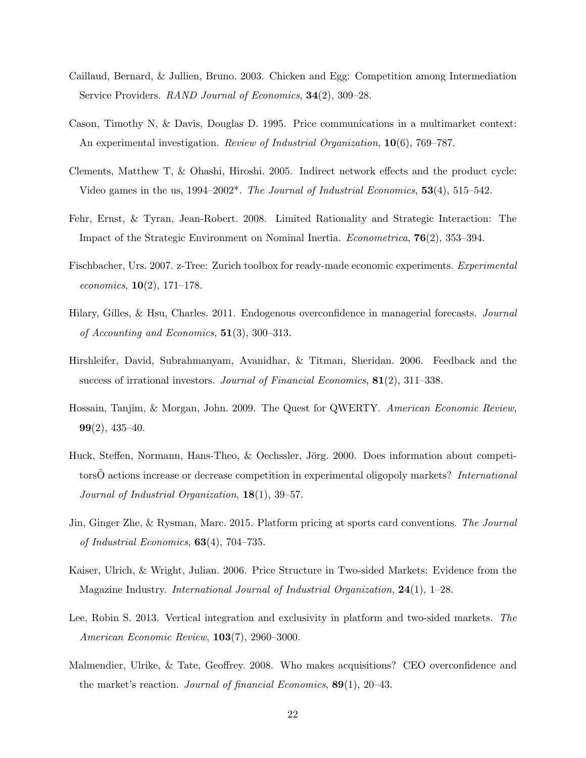- Caillaud, Bernard, & Jullien, Bruno. 2003. Chicken and Egg: Competition among Intermediation Service Providers. RAND Journal of Economics, 34(2), 309–28.
- Cason, Timothy N, & Davis, Douglas D. 1995. Price communications in a multimarket context: An experimental investigation. *Review of Industrial Organization*, **10**(6), 769–787.
- Clements, Matthew T, & Ohashi, Hiroshi. 2005. Indirect network effects and the product cycle: Video games in the us,  $1994-2002^*$ . The Journal of Industrial Economics,  $53(4)$ ,  $515-542$ .
- Fehr, Ernst, & Tyran, Jean-Robert. 2008. Limited Rationality and Strategic Interaction: The Impact of the Strategic Environment on Nominal Inertia. Econometrica, 76(2), 353–394.
- Fischbacher, Urs. 2007. z-Tree: Zurich toolbox for ready-made economic experiments. Experimental economics,  $10(2)$ , 171–178.
- Hilary, Gilles, & Hsu, Charles. 2011. Endogenous overconfidence in managerial forecasts. Journal of Accounting and Economics,  $51(3)$ , 300–313.
- Hirshleifer, David, Subrahmanyam, Avanidhar, & Titman, Sheridan. 2006. Feedback and the success of irrational investors. Journal of Financial Economics, 81(2), 311–338.
- Hossain, Tanjim, & Morgan, John. 2009. The Quest for QWERTY. American Economic Review,  $99(2)$ , 435–40.
- Huck, Steffen, Normann, Hans-Theo, & Oechssler, Jörg. 2000. Does information about competitorsO actions increase or decrease competition in experimental oligopoly markets? International Journal of Industrial Organization, 18(1), 39–57.
- Jin, Ginger Zhe, & Rysman, Marc. 2015. Platform pricing at sports card conventions. The Journal of Industrial Economics,  $63(4)$ , 704–735.
- Kaiser, Ulrich, & Wright, Julian. 2006. Price Structure in Two-sided Markets: Evidence from the Magazine Industry. International Journal of Industrial Organization, 24(1), 1–28.
- Lee, Robin S. 2013. Vertical integration and exclusivity in platform and two-sided markets. The American Economic Review, 103(7), 2960–3000.
- Malmendier, Ulrike, & Tate, Geoffrey. 2008. Who makes acquisitions? CEO overconfidence and the market's reaction. Journal of financial Economics, 89(1), 20–43.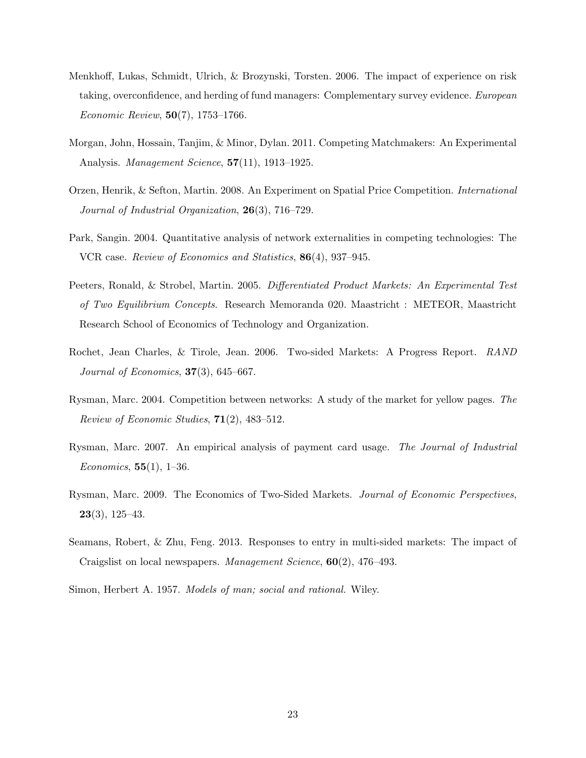- Menkhoff, Lukas, Schmidt, Ulrich, & Brozynski, Torsten. 2006. The impact of experience on risk taking, overconfidence, and herding of fund managers: Complementary survey evidence. European Economic Review, 50(7), 1753–1766.
- Morgan, John, Hossain, Tanjim, & Minor, Dylan. 2011. Competing Matchmakers: An Experimental Analysis. Management Science, 57(11), 1913–1925.
- Orzen, Henrik, & Sefton, Martin. 2008. An Experiment on Spatial Price Competition. International Journal of Industrial Organization, 26(3), 716-729.
- Park, Sangin. 2004. Quantitative analysis of network externalities in competing technologies: The VCR case. Review of Economics and Statistics, 86(4), 937–945.
- Peeters, Ronald, & Strobel, Martin. 2005. Differentiated Product Markets: An Experimental Test of Two Equilibrium Concepts. Research Memoranda 020. Maastricht : METEOR, Maastricht Research School of Economics of Technology and Organization.
- Rochet, Jean Charles, & Tirole, Jean. 2006. Two-sided Markets: A Progress Report. RAND Journal of Economics,  $37(3)$ , 645–667.
- Rysman, Marc. 2004. Competition between networks: A study of the market for yellow pages. The Review of Economic Studies,  $71(2)$ , 483-512.
- Rysman, Marc. 2007. An empirical analysis of payment card usage. The Journal of Industrial *Economics*,  $55(1)$ , 1–36.
- Rysman, Marc. 2009. The Economics of Two-Sided Markets. Journal of Economic Perspectives,  $23(3), 125-43.$
- Seamans, Robert, & Zhu, Feng. 2013. Responses to entry in multi-sided markets: The impact of Craigslist on local newspapers. Management Science, 60(2), 476–493.
- Simon, Herbert A. 1957. Models of man; social and rational. Wiley.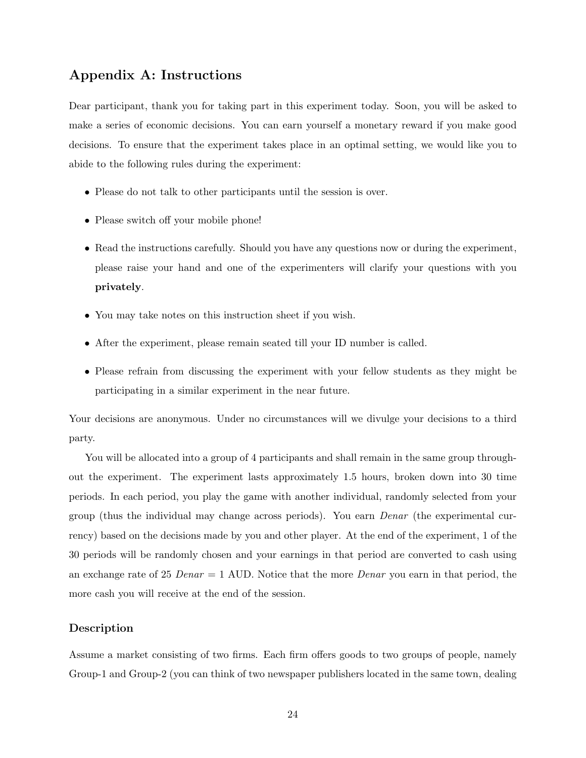## Appendix A: Instructions

Dear participant, thank you for taking part in this experiment today. Soon, you will be asked to make a series of economic decisions. You can earn yourself a monetary reward if you make good decisions. To ensure that the experiment takes place in an optimal setting, we would like you to abide to the following rules during the experiment:

- Please do not talk to other participants until the session is over.
- Please switch off your mobile phone!
- Read the instructions carefully. Should you have any questions now or during the experiment, please raise your hand and one of the experimenters will clarify your questions with you privately.
- You may take notes on this instruction sheet if you wish.
- After the experiment, please remain seated till your ID number is called.
- Please refrain from discussing the experiment with your fellow students as they might be participating in a similar experiment in the near future.

Your decisions are anonymous. Under no circumstances will we divulge your decisions to a third party.

You will be allocated into a group of 4 participants and shall remain in the same group throughout the experiment. The experiment lasts approximately 1.5 hours, broken down into 30 time periods. In each period, you play the game with another individual, randomly selected from your group (thus the individual may change across periods). You earn Denar (the experimental currency) based on the decisions made by you and other player. At the end of the experiment, 1 of the 30 periods will be randomly chosen and your earnings in that period are converted to cash using an exchange rate of 25  $Denar = 1$  AUD. Notice that the more *Denar* you earn in that period, the more cash you will receive at the end of the session.

#### Description

Assume a market consisting of two firms. Each firm offers goods to two groups of people, namely Group-1 and Group-2 (you can think of two newspaper publishers located in the same town, dealing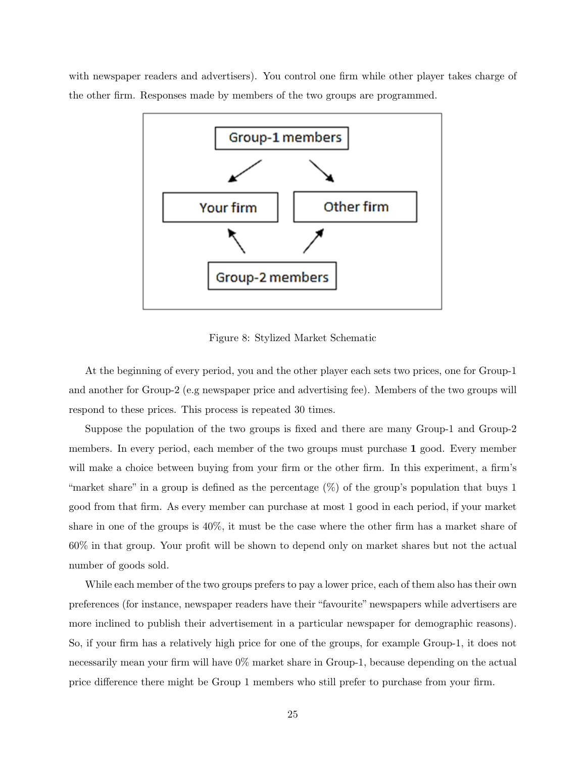with newspaper readers and advertisers). You control one firm while other player takes charge of the other firm. Responses made by members of the two groups are programmed.



Figure 8: Stylized Market Schematic

At the beginning of every period, you and the other player each sets two prices, one for Group-1 and another for Group-2 (e.g newspaper price and advertising fee). Members of the two groups will respond to these prices. This process is repeated 30 times.

Suppose the population of the two groups is fixed and there are many Group-1 and Group-2 members. In every period, each member of the two groups must purchase 1 good. Every member will make a choice between buying from your firm or the other firm. In this experiment, a firm's "market share" in a group is defined as the percentage (%) of the group's population that buys 1 good from that firm. As every member can purchase at most 1 good in each period, if your market share in one of the groups is 40%, it must be the case where the other firm has a market share of 60% in that group. Your profit will be shown to depend only on market shares but not the actual number of goods sold.

While each member of the two groups prefers to pay a lower price, each of them also has their own preferences (for instance, newspaper readers have their "favourite" newspapers while advertisers are more inclined to publish their advertisement in a particular newspaper for demographic reasons). So, if your firm has a relatively high price for one of the groups, for example Group-1, it does not necessarily mean your firm will have 0% market share in Group-1, because depending on the actual price difference there might be Group 1 members who still prefer to purchase from your firm.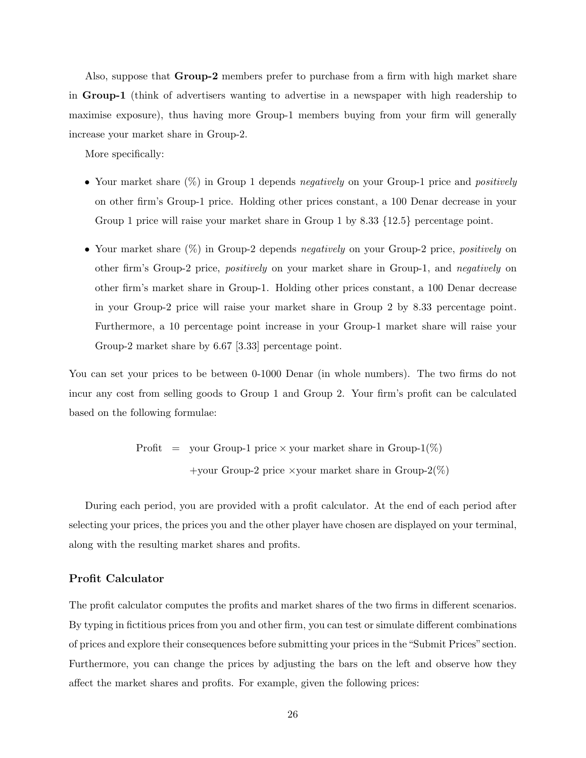Also, suppose that Group-2 members prefer to purchase from a firm with high market share in Group-1 (think of advertisers wanting to advertise in a newspaper with high readership to maximise exposure), thus having more Group-1 members buying from your firm will generally increase your market share in Group-2.

More specifically:

- Your market share  $(\%)$  in Group 1 depends *negatively* on your Group-1 price and *positively* on other firm's Group-1 price. Holding other prices constant, a 100 Denar decrease in your Group 1 price will raise your market share in Group 1 by 8.33 {12.5} percentage point.
- Your market share  $(\%)$  in Group-2 depends *negatively* on your Group-2 price, *positively* on other firm's Group-2 price, positively on your market share in Group-1, and negatively on other firm's market share in Group-1. Holding other prices constant, a 100 Denar decrease in your Group-2 price will raise your market share in Group 2 by 8.33 percentage point. Furthermore, a 10 percentage point increase in your Group-1 market share will raise your Group-2 market share by 6.67 [3.33] percentage point.

You can set your prices to be between 0-1000 Denar (in whole numbers). The two firms do not incur any cost from selling goods to Group 1 and Group 2. Your firm's profit can be calculated based on the following formulae:

> Profit = your Group-1 price  $\times$  your market share in Group-1(%) +your Group-2 price  $\times$ your market share in Group-2(%)

During each period, you are provided with a profit calculator. At the end of each period after selecting your prices, the prices you and the other player have chosen are displayed on your terminal, along with the resulting market shares and profits.

#### Profit Calculator

The profit calculator computes the profits and market shares of the two firms in different scenarios. By typing in fictitious prices from you and other firm, you can test or simulate different combinations of prices and explore their consequences before submitting your prices in the "Submit Prices" section. Furthermore, you can change the prices by adjusting the bars on the left and observe how they affect the market shares and profits. For example, given the following prices: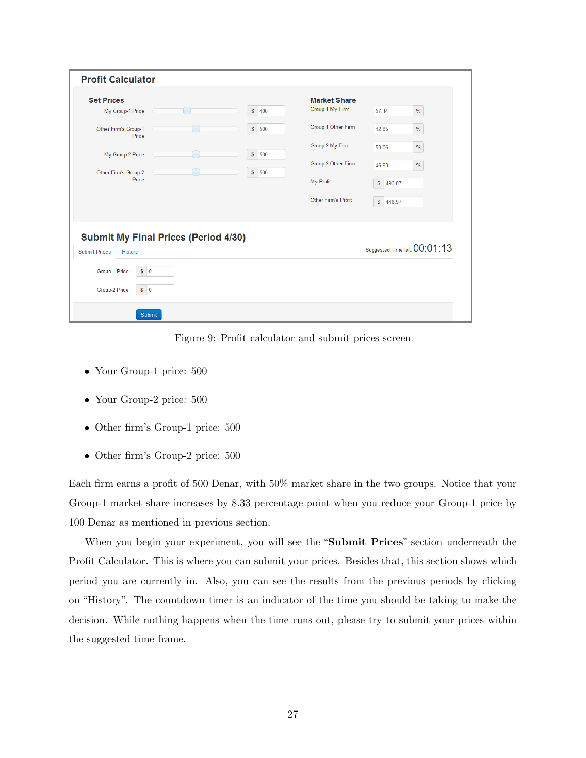| <b>Set Prices</b>                                                              |                     | <b>Market Share</b> |           |                               |
|--------------------------------------------------------------------------------|---------------------|---------------------|-----------|-------------------------------|
| My Group-1 Price                                                               | $\mathbb{S}$<br>400 | Group 1 My Firm     | 57.14     | $\%$                          |
| Other Firm's Group-1<br>Price                                                  | $\mathbb S$<br>500  | Group 1 Other Firm  | 42.85     | $\%$                          |
| My Group-2 Price                                                               | $\mathbb S$<br>500  | Group 2 My Firm     | 53.06     | $\%$                          |
| Other Firm's Group-2                                                           | $\mathbb{S}$<br>500 | Group 2 Other Firm  | 46.93     | %                             |
| Price                                                                          |                     | My Profit           | \$ 493.87 |                               |
|                                                                                |                     | Other Firm's Profit | \$448.97  |                               |
| <b>Submit My Final Prices (Period 4/30)</b><br><b>Submit Prices</b><br>History |                     |                     |           | Suggested Time left: 00:01:13 |
| Group-1 Price<br>$S$ 0                                                         |                     |                     |           |                               |
| Group-2 Price<br>$S$ 0                                                         |                     |                     |           |                               |

Figure 9: Profit calculator and submit prices screen

- Your Group-1 price: 500
- Your Group-2 price: 500
- Other firm's Group-1 price: 500
- Other firm's Group-2 price: 500

Each firm earns a profit of 500 Denar, with 50% market share in the two groups. Notice that your Group-1 market share increases by 8.33 percentage point when you reduce your Group-1 price by 100 Denar as mentioned in previous section.

When you begin your experiment, you will see the "Submit Prices" section underneath the Profit Calculator. This is where you can submit your prices. Besides that, this section shows which period you are currently in. Also, you can see the results from the previous periods by clicking on "History". The countdown timer is an indicator of the time you should be taking to make the decision. While nothing happens when the time runs out, please try to submit your prices within the suggested time frame.